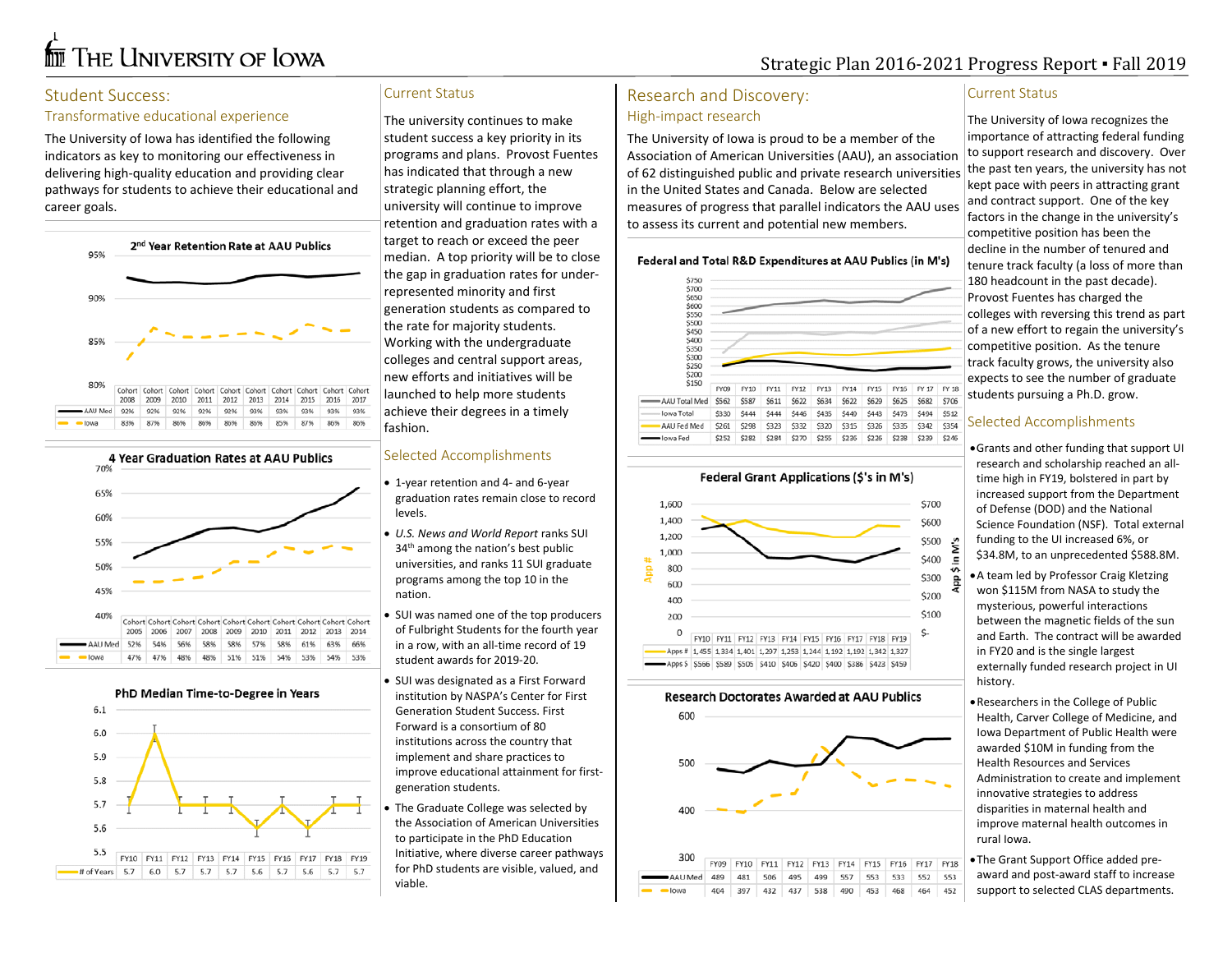# **for** The University of Iowa

# Strategic Plan 2016-2021 Progress Report ▪ Fall 2019

## Student Success:

#### Transformative educational experience

The University of Iowa has identified the following indicators as key to monitoring our effectiveness in delivering high-quality education and providing clear pathways for students to achieve their educational and career goals.



92% 92% 92% 92% 92% 93% 93% 93% 93% 93% AAU Med 87% 85% 87% 86% 86% 83% 86% 86% 86% 86%



PhD Median Time-to-Degree in Years



#### Current Status

The university continues to make student success a key priority in its programs and plans. Provost Fuentes has indicated that through a new strategic planning effort, the university will continue to improve retention and graduation rates with a target to reach or exceed the peer median. A top priority will be to close the gap in graduation rates for underrepresented minority and first generation students as compared to the rate for majority students. Working with the undergraduate colleges and central support areas, new efforts and initiatives will be launched to help more students achieve their degrees in a timely fashion.

#### Selected Accomplishments

- 1-year retention and 4- and 6-year graduation rates remain close to record levels.
- *U.S. News and World Report* ranks SUI 34<sup>th</sup> among the nation's best public universities, and ranks 11 SUI graduate programs among the top 10 in the nation.
- SUI was named one of the top producers of Fulbright Students for the fourth year in a row, with an all-time record of 19 student awards for 2019-20.
- SUI was designated as a First Forward institution by NASPA's Center for First Generation Student Success. First Forward is a consortium of 80 institutions across the country that implement and share practices to improve educational attainment for firstgeneration students.
- The Graduate College was selected by the Association of American Universities to participate in the PhD Education Initiative, where diverse career pathways for PhD students are visible, valued, and viable.

# Research and Discovery: High-impact research

The University of Iowa is proud to be a member of the Association of American Universities (AAU), an association of 62 distinguished public and private research universities in the United States and Canada. Below are selected measures of progress that parallel indicators the AAU uses to assess its current and potential new members.

#### Federal and Total R&D Expenditures at AAU Publics (in M's)



#### **Federal Grant Applications (\$'s in M's)**



#### **Research Doctorates Awarded at AAU Publics**



#### Current Status

The University of Iowa recognizes the importance of attracting federal funding to support research and discovery. Over the past ten years, the university has not kept pace with peers in attracting grant and contract support. One of the key factors in the change in the university's competitive position has been the decline in the number of tenured and tenure track faculty (a loss of more than 180 headcount in the past decade). Provost Fuentes has charged the colleges with reversing this trend as part of a new effort to regain the university's competitive position. As the tenure track faculty grows, the university also expects to see the number of graduate students pursuing a Ph.D. grow.

#### Selected Accomplishments

•Grants and other funding that support UI research and scholarship reached an alltime high in FY19, bolstered in part by increased support from the Department of Defense (DOD) and the National Science Foundation (NSF). Total external funding to the UI increased 6%, or \$34.8M, to an unprecedented \$588.8M.

•A team led by Professor Craig Kletzing won \$115M from NASA to study the mysterious, powerful interactions between the magnetic fields of the sun and Earth. The contract will be awarded in FY20 and is the single largest externally funded research project in UI history.

•Researchers in the College of Public Health, Carver College of Medicine, and Iowa Department of Public Health were awarded \$10M in funding from the Health Resources and Services Administration to create and implement innovative strategies to address disparities in maternal health and improve maternal health outcomes in rural Iowa.

•The Grant Support Office added preaward and post-award staff to increase support to selected CLAS departments.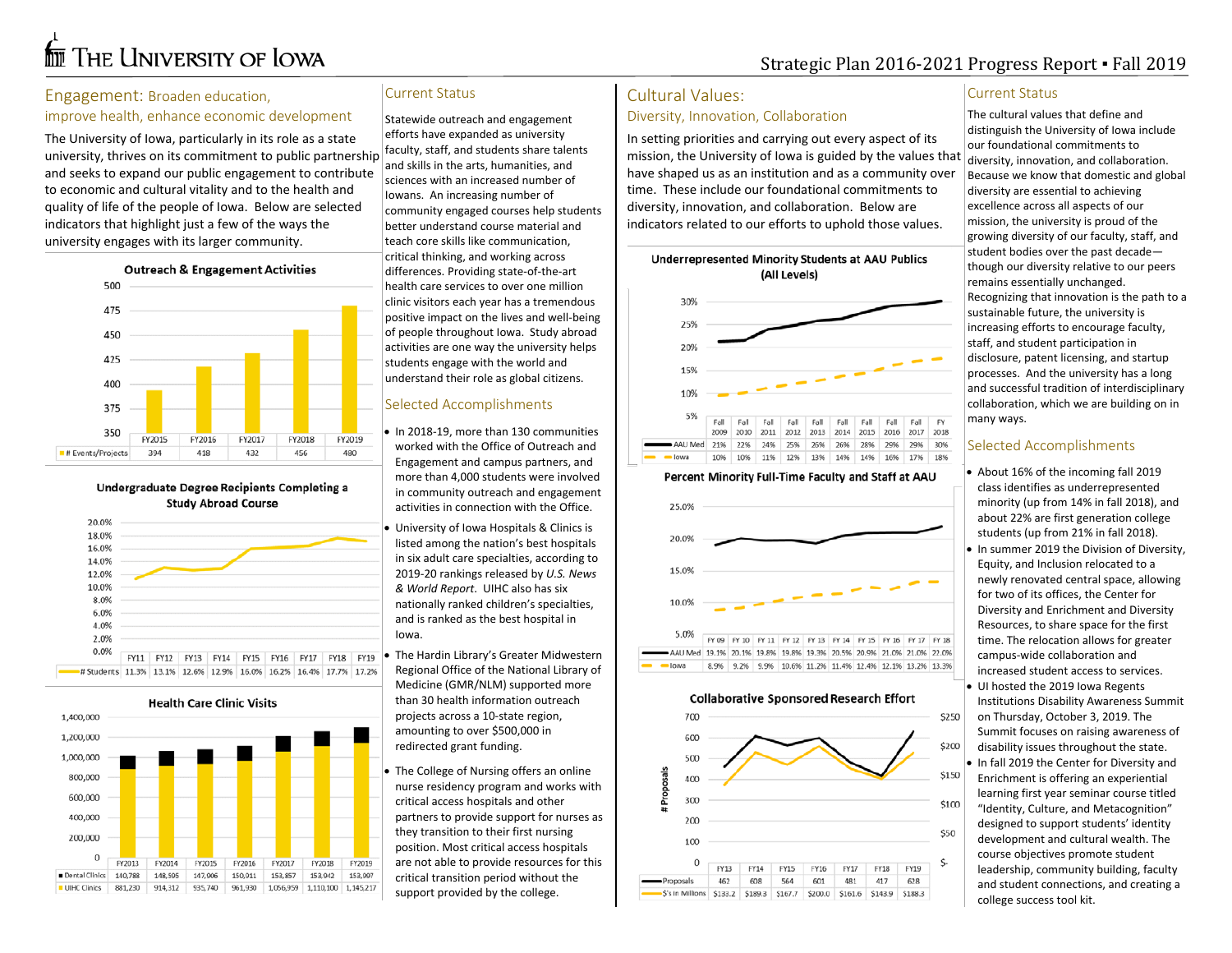# **for** The University of Iowa

# Strategic Plan 2016-2021 Progress Report ▪ Fall 2019

#### Engagement: Broaden education,

#### improve health, enhance economic development

The University of Iowa, particularly in its role as a state university, thrives on its commitment to public partnership and seeks to expand our public engagement to contribute to economic and cultural vitality and to the health and quality of life of the people of Iowa. Below are selected indicators that highlight just a few of the ways the university engages with its larger community.



Undergraduate Degree Recipients Completing a **Study Abroad Course** 



**Health Care Clinic Visits** 



#### Current Status

Statewide outreach and engagement efforts have expanded as university faculty, staff, and students share talents and skills in the arts, humanities, and sciences with an increased number of Iowans. An increasing number of community engaged courses help students better understand course material and teach core skills like communication, critical thinking, and working across differences. Providing state-of-the-art health care services to over one million clinic visitors each year has a tremendous positive impact on the lives and well-being of people throughout Iowa. Study abroad activities are one way the university helps students engage with the world and understand their role as global citizens.

#### Selected Accomplishments

- In 2018-19, more than 130 communities worked with the Office of Outreach and Engagement and campus partners, and more than 4,000 students were involved in community outreach and engagement activities in connection with the Office.
- University of Iowa Hospitals & Clinics is listed among the nation's best hospitals in six adult care specialties, according to 2019-20 rankings released by *U.S. News & World Report*. UIHC also has six nationally ranked children's specialties, and is ranked as the best hospital in Iowa.
- The Hardin Library's Greater Midwestern Regional Office of the National Library of Medicine (GMR/NLM) supported more than 30 health information outreach projects across a 10-state region, amounting to over \$500,000 in redirected grant funding.
- The College of Nursing offers an online nurse residency program and works with critical access hospitals and other partners to provide support for nurses as they transition to their first nursing position. Most critical access hospitals are not able to provide resources for this critical transition period without the support provided by the college.

### Cultural Values:

#### Diversity, Innovation, Collaboration

In setting priorities and carrying out every aspect of its mission, the University of Iowa is guided by the values that have shaped us as an institution and as a community over time. These include our foundational commitments to diversity, innovation, and collaboration. Below are indicators related to our efforts to uphold those values.



#### Percent Minority Full-Time Faculty and Staff at AAU



#### **Collaborative Sponsored Research Effort**



#### Current Status

The cultural values that define and distinguish the University of Iowa include our foundational commitments to diversity, innovation, and collaboration. Because we know that domestic and global diversity are essential to achieving excellence across all aspects of our mission, the university is proud of the growing diversity of our faculty, staff, and student bodies over the past decade though our diversity relative to our peers remains essentially unchanged. Recognizing that innovation is the path to a sustainable future, the university is increasing efforts to encourage faculty, staff, and student participation in disclosure, patent licensing, and startup processes. And the university has a long and successful tradition of interdisciplinary collaboration, which we are building on in many ways.

#### Selected Accomplishments

• About 16% of the incoming fall 2019 class identifies as underrepresented minority (up from 14% in fall 2018), and about 22% are first generation college students (up from 21% in fall 2018). • In summer 2019 the Division of Diversity, Equity, and Inclusion relocated to a newly renovated central space, allowing for two of its offices, the Center for Diversity and Enrichment and Diversity Resources, to share space for the first time. The relocation allows for greater campus-wide collaboration and increased student access to services. • UI hosted the 2019 Iowa Regents Institutions Disability Awareness Summit on Thursday, October 3, 2019. The Summit focuses on raising awareness of disability issues throughout the state. • In fall 2019 the Center for Diversity and Enrichment is offering an experiential learning first year seminar course titled "Identity, Culture, and Metacognition" designed to support students' identity development and cultural wealth. The course objectives promote student leadership, community building, faculty and student connections, and creating a college success tool kit.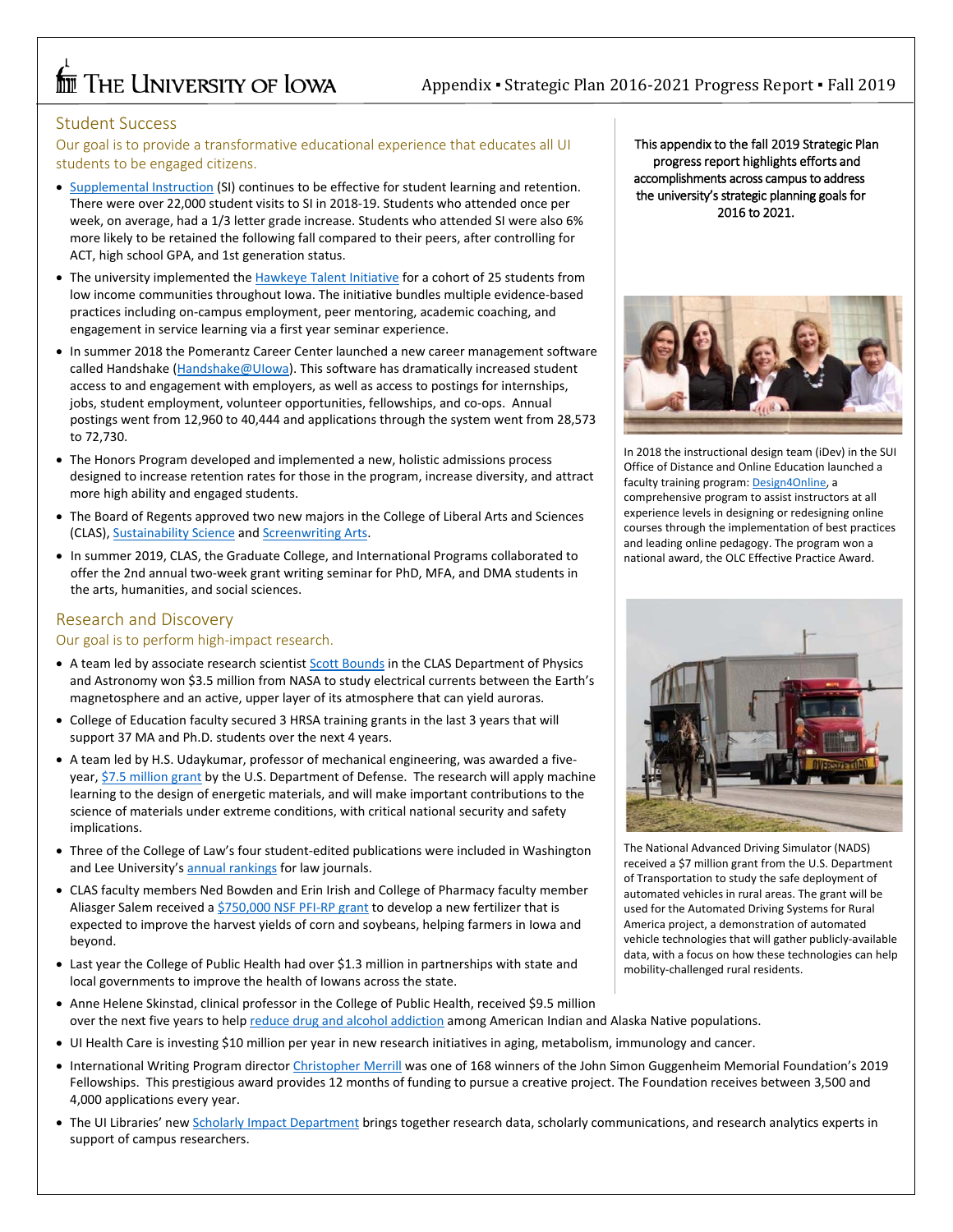# **THE UNIVERSITY OF LOWA**

#### Student Success

Our goal is to provide a transformative educational experience that educates all UI students to be engaged citizens.

- [Supplemental Instruction](https://tutor.uiowa.edu/find-help/supplemental-instruction/) (SI) continues to be effective for student learning and retention. There were over 22,000 student visits to SI in 2018-19. Students who attended once per week, on average, had a 1/3 letter grade increase. Students who attended SI were also 6% more likely to be retained the following fall compared to their peers, after controlling for ACT, high school GPA, and 1st generation status.
- The university implemented the [Hawkeye Talent Initiative](https://careers.uiowa.edu/students/hawkeye-talent-initiative) for a cohort of 25 students from low income communities throughout Iowa. The initiative bundles multiple evidence-based practices including on-campus employment, peer mentoring, academic coaching, and engagement in service learning via a first year seminar experience.
- In summer 2018 the Pomerantz Career Center launched a new career management software called Handshake [\(Handshake@UIowa\)](https://careers.uiowa.edu/handshake). This software has dramatically increased student access to and engagement with employers, as well as access to postings for internships, jobs, student employment, volunteer opportunities, fellowships, and co-ops. Annual postings went from 12,960 to 40,444 and applications through the system went from 28,573 to 72,730.
- The Honors Program developed and implemented a new, holistic admissions process designed to increase retention rates for those in the program, increase diversity, and attract more high ability and engaged students.
- The Board of Regents approved two new majors in the College of Liberal Arts and Sciences (CLAS)[, Sustainability Science](http://catalog.registrar.uiowa.edu/liberal-arts-sciences/geographical-sustainability-sciences/sustainability-science-bs/) and [Screenwriting Arts.](http://catalog.registrar.uiowa.edu/liberal-arts-sciences/cinematic-arts/screenwriting-arts-ba/#requirementstext)
- In summer 2019, CLAS, the Graduate College, and International Programs collaborated to offer the 2nd annual two-week grant writing seminar for PhD, MFA, and DMA students in the arts, humanities, and social sciences.

#### Research and Discovery

Our goal is to perform high-impact research.

- A team led by associate research scientist **Scott Bounds** in the CLAS Department of Physics and Astronomy won \$3.5 million from NASA to study electrical currents between the Earth's magnetosphere and an active, upper layer of its atmosphere that can yield auroras.
- College of Education faculty secured 3 HRSA training grants in the last 3 years that will support 37 MA and Ph.D. students over the next 4 years.
- A team led by H.S. Udaykumar, professor of mechanical engineering, was awarded a five-year[, \\$7.5 million grant](https://now.uiowa.edu/2019/07/ui-engineers-co-win-5-year-75m-grant-apply-machine-learning-energetic-materials-design) by the U.S. Department of Defense. The research will apply machine learning to the design of energetic materials, and will make important contributions to the science of materials under extreme conditions, with critical national security and safety implications.
- Three of the College of Law's four student-edited publications were included in Washington and Lee University'[s annual rankings](https://managementtools4.wlu.edu/LawJournals/Default.aspx) for law journals.
- CLAS faculty members Ned Bowden and Erin Irish and College of Pharmacy faculty member Aliasger Salem received a [\\$750,000 NSF PFI-RP grant](https://www.nsf.gov/awardsearch/showAward?AWD_ID=1827336) to develop a new fertilizer that is expected to improve the harvest yields of corn and soybeans, helping farmers in Iowa and beyond.
- Last year the College of Public Health had over \$1.3 million in partnerships with state and local governments to improve the health of Iowans across the state.
- Anne Helene Skinstad, clinical professor in the College of Public Health, received \$9.5 million over the next five years to hel[p reduce drug and alcohol addiction](https://now.uiowa.edu/2019/01/federal-grants-will-help-develop-strategies-combat-addiction-native-populations) among American Indian and Alaska Native populations.
- UI Health Care is investing \$10 million per year in new research initiatives in aging, metabolism, immunology and cancer.
- International Writing Program directo[r Christopher Merrill](https://now.uiowa.edu/2019/04/iwps-merrill-awarded-guggenheim-fellowship) was one of 168 winners of the John Simon Guggenheim Memorial Foundation's 2019 Fellowships. This prestigious award provides 12 months of funding to pursue a creative project. The Foundation receives between 3,500 and 4,000 applications every year.
- The UI Libraries' new [Scholarly Impact Department](https://www.lib.uiowa.edu/scholarly-impact/) brings together research data, scholarly communications, and research analytics experts in support of campus researchers.

This appendix to the fall 2019 Strategic Plan progress report highlights efforts and accomplishments across campus to address the university's strategic planning goals for 2016 to 2021.



In 2018 the instructional design team (iDev) in the SUI Office of Distance and Online Education launched a faculty training program[: Design4Online,](https://teachonline.uiowa.edu/design4online) a comprehensive program to assist instructors at all experience levels in designing or redesigning online courses through the implementation of best practices and leading online pedagogy. The program won a national award, the OLC Effective Practice Award.



The National Advanced Driving Simulator (NADS) received a \$7 million grant from the U.S. Department of Transportation to study the safe deployment of automated vehicles in rural areas. The grant will be used for the Automated Driving Systems for Rural America project, a demonstration of automated vehicle technologies that will gather publicly-available data, with a focus on how these technologies can help mobility-challenged rural residents.